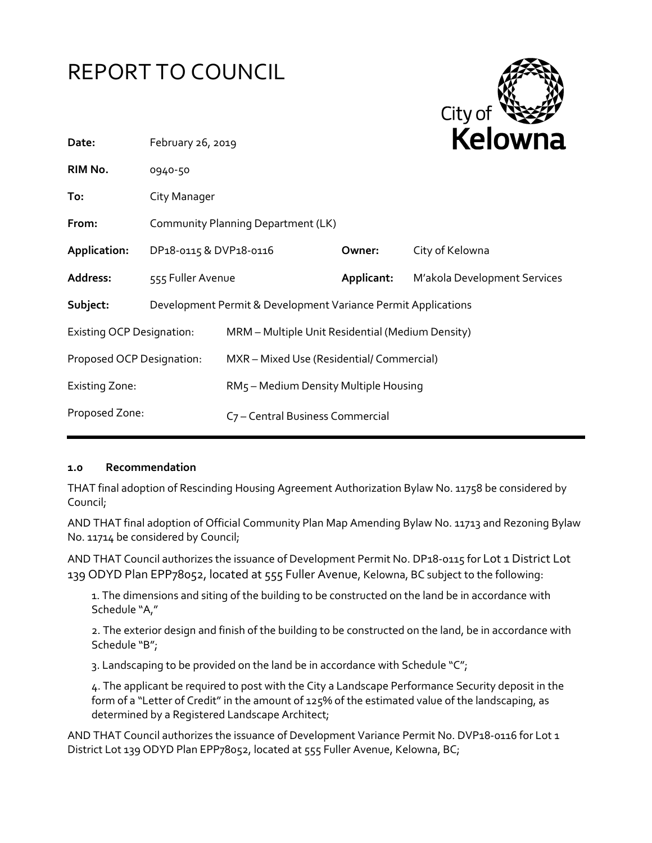# REPORT TO COUNCIL



| Date:                            | February 26, 2019                                             |                                                  |            | <b>NEIUWII</b> d             |
|----------------------------------|---------------------------------------------------------------|--------------------------------------------------|------------|------------------------------|
| RIM No.                          | 0940-50                                                       |                                                  |            |                              |
| To:                              | City Manager                                                  |                                                  |            |                              |
| From:                            | Community Planning Department (LK)                            |                                                  |            |                              |
| Application:                     | DP18-0115 & DVP18-0116                                        |                                                  | Owner:     | City of Kelowna              |
| Address:                         | 555 Fuller Avenue                                             |                                                  | Applicant: | M'akola Development Services |
| Subject:                         | Development Permit & Development Variance Permit Applications |                                                  |            |                              |
| <b>Existing OCP Designation:</b> |                                                               | MRM - Multiple Unit Residential (Medium Density) |            |                              |
| Proposed OCP Designation:        |                                                               | MXR - Mixed Use (Residential/ Commercial)        |            |                              |
| <b>Existing Zone:</b>            |                                                               | RM5 - Medium Density Multiple Housing            |            |                              |
| Proposed Zone:                   |                                                               | C7 - Central Business Commercial                 |            |                              |
|                                  |                                                               |                                                  |            |                              |

#### **1.0 Recommendation**

THAT final adoption of Rescinding Housing Agreement Authorization Bylaw No. 11758 be considered by Council;

AND THAT final adoption of Official Community Plan Map Amending Bylaw No. 11713 and Rezoning Bylaw No. 11714 be considered by Council;

AND THAT Council authorizes the issuance of Development Permit No. DP18-0115 for Lot 1 District Lot 139 ODYD Plan EPP78052, located at 555 Fuller Avenue, Kelowna, BC subject to the following:

1. The dimensions and siting of the building to be constructed on the land be in accordance with Schedule "A,"

2. The exterior design and finish of the building to be constructed on the land, be in accordance with Schedule "B";

3. Landscaping to be provided on the land be in accordance with Schedule "C";

4. The applicant be required to post with the City a Landscape Performance Security deposit in the form of a "Letter of Credit" in the amount of 125% of the estimated value of the landscaping, as determined by a Registered Landscape Architect;

AND THAT Council authorizes the issuance of Development Variance Permit No. DVP18-0116 for Lot 1 District Lot 139 ODYD Plan EPP78052, located at 555 Fuller Avenue, Kelowna, BC;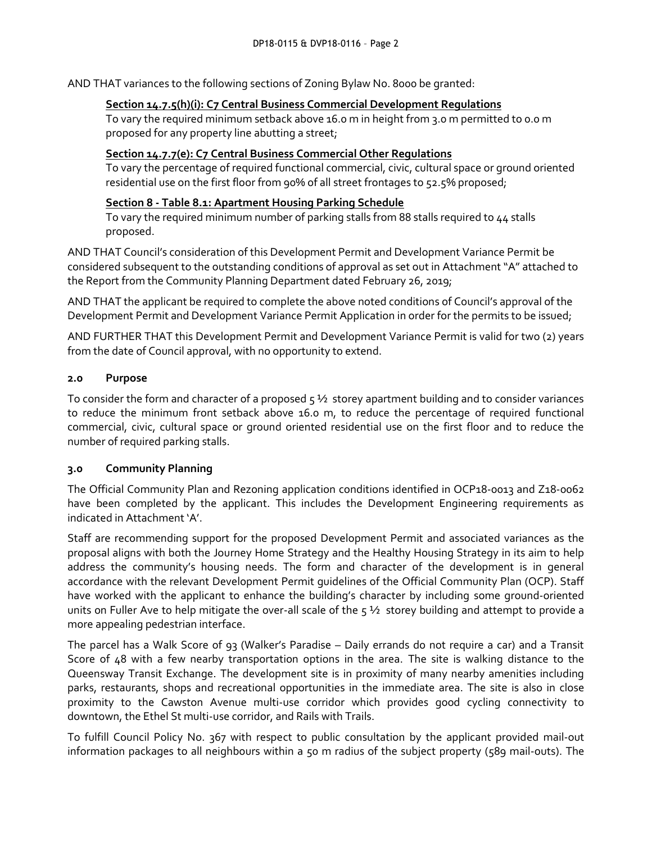AND THAT variances to the following sections of Zoning Bylaw No. 8000 be granted:

### **Section 14.7.5(h)(i): C7 Central Business Commercial Development Regulations**

To vary the required minimum setback above 16.0 m in height from 3.0 m permitted to 0.0 m proposed for any property line abutting a street;

# **Section 14.7.7(e): C7 Central Business Commercial Other Regulations**

To vary the percentage of required functional commercial, civic, cultural space or ground oriented residential use on the first floor from 90% of all street frontages to 52.5% proposed;

# **Section 8 - Table 8.1: Apartment Housing Parking Schedule**

To vary the required minimum number of parking stalls from 88 stalls required to 44 stalls proposed.

AND THAT Council's consideration of this Development Permit and Development Variance Permit be considered subsequent to the outstanding conditions of approval as set out in Attachment "A" attached to the Report from the Community Planning Department dated February 26, 2019;

AND THAT the applicant be required to complete the above noted conditions of Council's approval of the Development Permit and Development Variance Permit Application in order for the permits to be issued;

AND FURTHER THAT this Development Permit and Development Variance Permit is valid for two (2) years from the date of Council approval, with no opportunity to extend.

# **2.0 Purpose**

To consider the form and character of a proposed  $5\frac{1}{2}$  storey apartment building and to consider variances to reduce the minimum front setback above 16.0 m, to reduce the percentage of required functional commercial, civic, cultural space or ground oriented residential use on the first floor and to reduce the number of required parking stalls.

# **3.0 Community Planning**

The Official Community Plan and Rezoning application conditions identified in OCP18-0013 and Z18-0062 have been completed by the applicant. This includes the Development Engineering requirements as indicated in Attachment 'A'.

Staff are recommending support for the proposed Development Permit and associated variances as the proposal aligns with both the Journey Home Strategy and the Healthy Housing Strategy in its aim to help address the community's housing needs. The form and character of the development is in general accordance with the relevant Development Permit guidelines of the Official Community Plan (OCP). Staff have worked with the applicant to enhance the building's character by including some ground-oriented units on Fuller Ave to help mitigate the over-all scale of the  $5\frac{1}{2}$  storey building and attempt to provide a more appealing pedestrian interface.

The parcel has a Walk Score of 93 (Walker's Paradise – Daily errands do not require a car) and a Transit Score of 48 with a few nearby transportation options in the area. The site is walking distance to the Queensway Transit Exchange. The development site is in proximity of many nearby amenities including parks, restaurants, shops and recreational opportunities in the immediate area. The site is also in close proximity to the Cawston Avenue multi-use corridor which provides good cycling connectivity to downtown, the Ethel St multi-use corridor, and Rails with Trails.

To fulfill Council Policy No. 367 with respect to public consultation by the applicant provided mail-out information packages to all neighbours within a 50 m radius of the subject property (589 mail-outs). The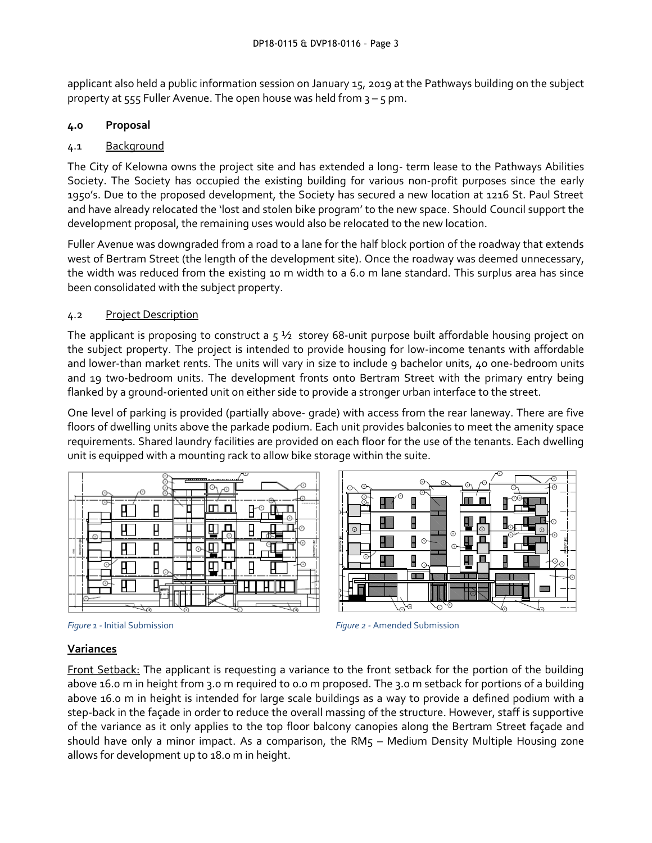applicant also held a public information session on January 15, 2019 at the Pathways building on the subject property at  $555$  Fuller Avenue. The open house was held from  $3 - 5$  pm.

# **4.0 Proposal**

# 4.1 Background

The City of Kelowna owns the project site and has extended a long- term lease to the Pathways Abilities Society. The Society has occupied the existing building for various non-profit purposes since the early 1950's. Due to the proposed development, the Society has secured a new location at 1216 St. Paul Street and have already relocated the 'lost and stolen bike program' to the new space. Should Council support the development proposal, the remaining uses would also be relocated to the new location.

Fuller Avenue was downgraded from a road to a lane for the half block portion of the roadway that extends west of Bertram Street (the length of the development site). Once the roadway was deemed unnecessary, the width was reduced from the existing 10 m width to a 6.0 m lane standard. This surplus area has since been consolidated with the subject property.

# 4.2 Project Description

The applicant is proposing to construct a  $5\frac{1}{2}$  storey 68-unit purpose built affordable housing project on the subject property. The project is intended to provide housing for low-income tenants with affordable and lower-than market rents. The units will vary in size to include 9 bachelor units, 40 one-bedroom units and 19 two-bedroom units. The development fronts onto Bertram Street with the primary entry being flanked by a ground-oriented unit on either side to provide a stronger urban interface to the street.

One level of parking is provided (partially above- grade) with access from the rear laneway. There are five floors of dwelling units above the parkade podium. Each unit provides balconies to meet the amenity space requirements. Shared laundry facilities are provided on each floor for the use of the tenants. Each dwelling unit is equipped with a mounting rack to allow bike storage within the suite.

|         |                    | C | ×<br>۸<br>$\Lambda$ |         |   | ಸ್          |        | ×<br>$\sim$ |
|---------|--------------------|---|---------------------|---------|---|-------------|--------|-------------|
|         | ⊙<br>$\rightarrow$ |   | ×                   |         | π |             | _<br>€ | ΨO<br>----  |
|         | п                  |   |                     |         | Ð |             |        | r           |
| ÷<br>E. |                    |   |                     |         | ٠ |             |        | G           |
|         | Θ                  |   | -<br>∽              |         |   |             |        | ×           |
|         | ×                  |   |                     |         |   |             |        |             |
|         | ∼                  |   | でん                  | ×<br>~∝ | F | <b>44 L</b> | -60    |             |







# **Variances**

Front Setback: The applicant is requesting a variance to the front setback for the portion of the building above 16.0 m in height from 3.0 m required to 0.0 m proposed. The 3.0 m setback for portions of a building above 16.0 m in height is intended for large scale buildings as a way to provide a defined podium with a step-back in the façade in order to reduce the overall massing of the structure. However, staff is supportive of the variance as it only applies to the top floor balcony canopies along the Bertram Street façade and should have only a minor impact. As a comparison, the RM5 - Medium Density Multiple Housing zone allows for development up to 18.0 m in height.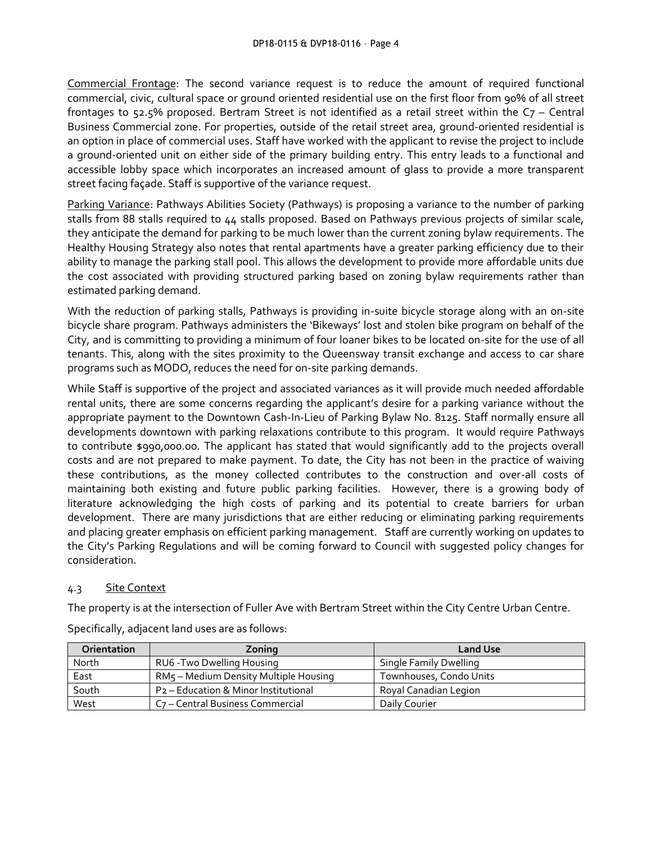Commercial Frontage: The second variance request is to reduce the amount of required functional commercial, civic, cultural space or ground oriented residential use on the first floor from 90% of all street frontages to 52.5% proposed. Bertram Street is not identified as a retail street within the C7 – Central Business Commercial zone. For properties, outside of the retail street area, ground-oriented residential is an option in place of commercial uses. Staff have worked with the applicant to revise the project to include a ground-oriented unit on either side of the primary building entry. This entry leads to a functional and accessible lobby space which incorporates an increased amount of glass to provide a more transparent street facing façade. Staff is supportive of the variance request.

Parking Variance: Pathways Abilities Society (Pathways) is proposing a variance to the number of parking stalls from 88 stalls required to 44 stalls proposed. Based on Pathways previous projects of similar scale, they anticipate the demand for parking to be much lower than the current zoning bylaw requirements. The Healthy Housing Strategy also notes that rental apartments have a greater parking efficiency due to their ability to manage the parking stall pool. This allows the development to provide more affordable units due the cost associated with providing structured parking based on zoning bylaw requirements rather than estimated parking demand.

With the reduction of parking stalls, Pathways is providing in-suite bicycle storage along with an on-site bicycle share program. Pathways administers the 'Bikeways' lost and stolen bike program on behalf of the City, and is committing to providing a minimum of four loaner bikes to be located on-site for the use of all tenants. This, along with the sites proximity to the Queensway transit exchange and access to car share programs such as MODO, reduces the need for on-site parking demands.

While Staff is supportive of the project and associated variances as it will provide much needed affordable rental units, there are some concerns regarding the applicant's desire for a parking variance without the appropriate payment to the Downtown Cash-In-Lieu of Parking Bylaw No. 8125. Staff normally ensure all developments downtown with parking relaxations contribute to this program. It would require Pathways to contribute \$990,000.00. The applicant has stated that would significantly add to the projects overall costs and are not prepared to make payment. To date, the City has not been in the practice of waiving these contributions, as the money collected contributes to the construction and over-all costs of maintaining both existing and future public parking facilities. However, there is a growing body of literature acknowledging the high costs of parking and its potential to create barriers for urban development. There are many jurisdictions that are either reducing or eliminating parking requirements and placing greater emphasis on efficient parking management. Staff are currently working on updates to the City's Parking Regulations and will be coming forward to Council with suggested policy changes for consideration.

#### 4.3 Site Context

The property is at the intersection of Fuller Ave with Bertram Street within the City Centre Urban Centre.

| <b>Orientation</b> | Zoning                                           | <b>Land Use</b>         |
|--------------------|--------------------------------------------------|-------------------------|
| North              | RU6 - Two Dwelling Housing                       | Single Family Dwelling  |
| East               | RM5 - Medium Density Multiple Housing            | Townhouses, Condo Units |
| South              | P <sub>2</sub> – Education & Minor Institutional | Royal Canadian Legion   |
| West               | C <sub>7</sub> - Central Business Commercial     | Daily Courier           |

Specifically, adjacent land uses are as follows: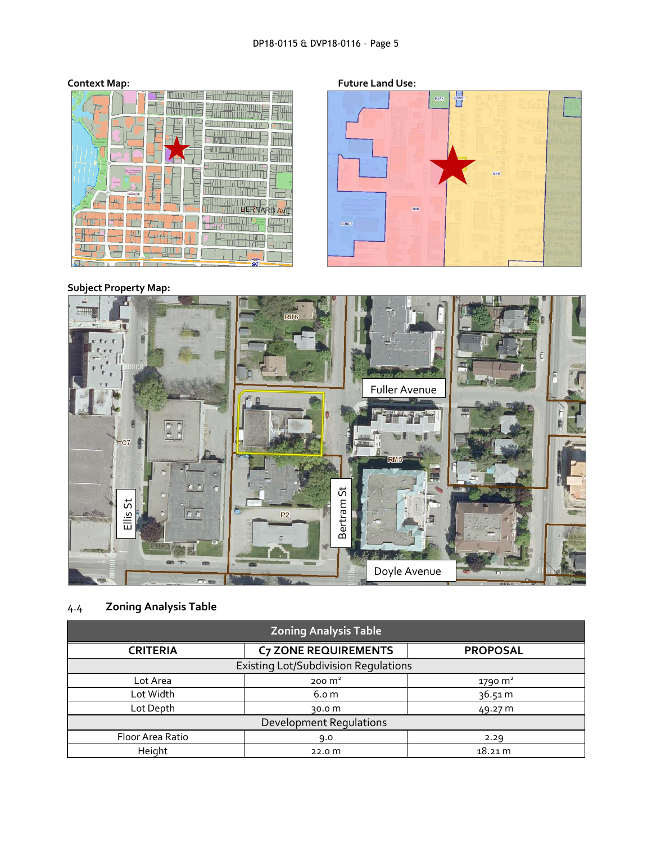# DP18-0115 & DVP18-0116 – Page 5



**Context Map: Future Land Use:**



# **Subject Property Map:**



# 4.4 **Zoning Analysis Table**

| <b>Zoning Analysis Table</b>                |                             |                 |  |
|---------------------------------------------|-----------------------------|-----------------|--|
| <b>CRITERIA</b>                             | <b>C7 ZONE REQUIREMENTS</b> | <b>PROPOSAL</b> |  |
| <b>Existing Lot/Subdivision Requlations</b> |                             |                 |  |
| Lot Area                                    | $200 \text{ m}^2$           | 1790 $m2$       |  |
| Lot Width                                   | 6.0 <sub>m</sub>            | 36.51 m         |  |
| Lot Depth                                   | 30.0 m                      | 49.27 m         |  |
| <b>Development Requlations</b>              |                             |                 |  |
| Floor Area Ratio                            | 9.0                         | 2.29            |  |
| Height                                      | 22.0 <sub>m</sub>           | 18.21 m         |  |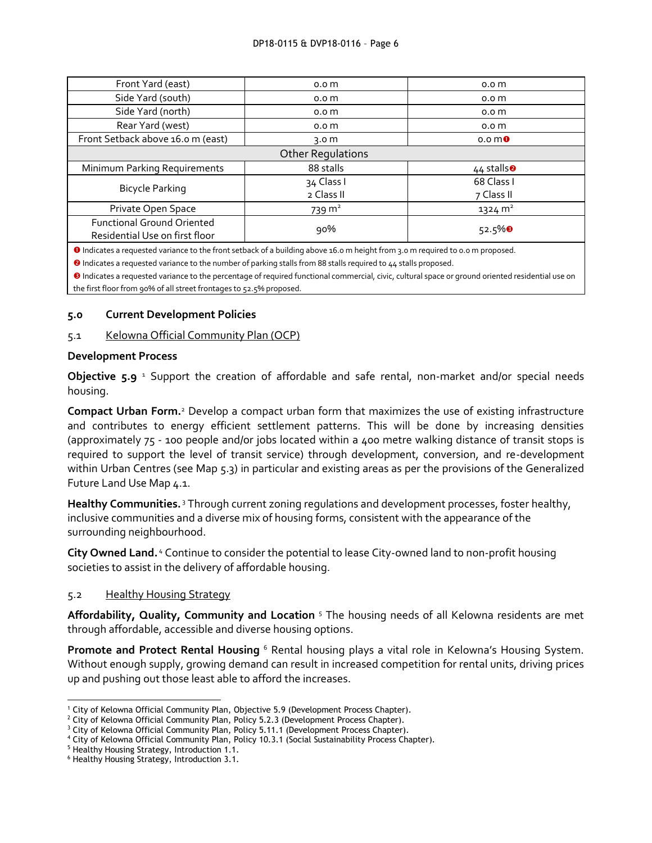#### DP18-0115 & DVP18-0116 – Page 6

| Front Yard (east)                                                   | 0.0 <sub>m</sub>  | 0.0 <sub>m</sub>                          |  |
|---------------------------------------------------------------------|-------------------|-------------------------------------------|--|
| Side Yard (south)                                                   | 0.0 <sub>m</sub>  | 0.0 <sub>m</sub>                          |  |
| Side Yard (north)                                                   | 0.0 <sub>m</sub>  | 0.0 <sub>m</sub>                          |  |
| Rear Yard (west)                                                    | 0.0 <sub>m</sub>  | 0.0 <sub>m</sub>                          |  |
| Front Setback above 16.0 m (east)                                   | 3.0 $m$           | 0.0 <sub>m</sub>                          |  |
| <b>Other Regulations</b>                                            |                   |                                           |  |
| Minimum Parking Requirements                                        | 88 stalls         | $44$ stalls <sup><math>\odot</math></sup> |  |
|                                                                     | 34 Class I        | 68 Class I                                |  |
| <b>Bicycle Parking</b>                                              | 2 Class II        | 7 Class II                                |  |
| Private Open Space                                                  | $739 \text{ m}^2$ | $1324 \text{ m}^2$                        |  |
| <b>Functional Ground Oriented</b><br>Residential Use on first floor | 90%               | $52.5\%$ <sup>8</sup>                     |  |

Indicates a requested variance to the front setback of a building above 16.0 m height from 3.0 m required to 0.0 m proposed.

<sup>2</sup> Indicates a requested variance to the number of parking stalls from 88 stalls required to 44 stalls proposed.

<sup>0</sup> Indicates a requested variance to the percentage of required functional commercial, civic, cultural space or ground oriented residential use on the first floor from 90% of all street frontages to 52.5% proposed.

#### **5.0 Current Development Policies**

#### 5.1 Kelowna Official Community Plan (OCP)

#### **Development Process**

**Objective 5.9** <sup>1</sup> Support the creation of affordable and safe rental, non-market and/or special needs housing.

**Compact Urban Form.**<sup>2</sup> Develop a compact urban form that maximizes the use of existing infrastructure and contributes to energy efficient settlement patterns. This will be done by increasing densities (approximately 75 - 100 people and/or jobs located within a 400 metre walking distance of transit stops is required to support the level of transit service) through development, conversion, and re-development within Urban Centres (see Map 5.3) in particular and existing areas as per the provisions of the Generalized Future Land Use Map 4.1.

Healthy Communities.<sup>3</sup> Through current zoning regulations and development processes, foster healthy, inclusive communities and a diverse mix of housing forms, consistent with the appearance of the surrounding neighbourhood.

City Owned Land.<sup>4</sup> Continue to consider the potential to lease City-owned land to non-profit housing societies to assist in the delivery of affordable housing.

#### 5.2 Healthy Housing Strategy

**Affordability, Quality, Community and Location** <sup>5</sup> The housing needs of all Kelowna residents are met through affordable, accessible and diverse housing options.

**Promote and Protect Rental Housing** <sup>6</sup> Rental housing plays a vital role in Kelowna's Housing System. Without enough supply, growing demand can result in increased competition for rental units, driving prices up and pushing out those least able to afford the increases.

-

<sup>1</sup> City of Kelowna Official Community Plan, Objective 5.9 (Development Process Chapter).

 $2$  City of Kelowna Official Community Plan, Policy 5.2.3 (Development Process Chapter).

<sup>&</sup>lt;sup>3</sup> City of Kelowna Official Community Plan, Policy 5.11.1 (Development Process Chapter).

<sup>4</sup> City of Kelowna Official Community Plan, Policy 10.3.1 (Social Sustainability Process Chapter).

<sup>5</sup> Healthy Housing Strategy, Introduction 1.1.

<sup>6</sup> Healthy Housing Strategy, Introduction 3.1.